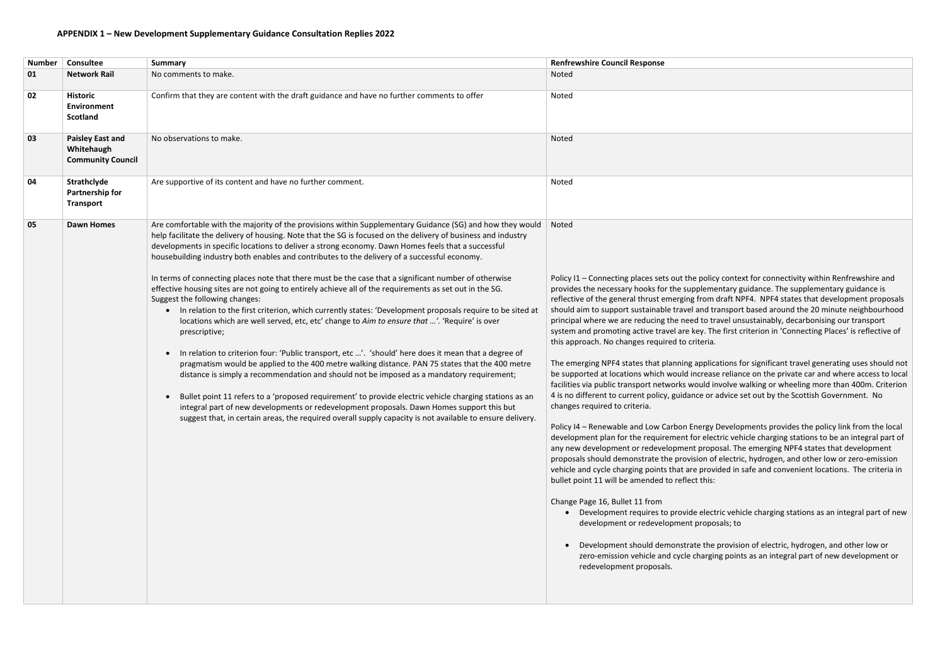| <b>Number</b> | Consultee                                                         | <b>Summary</b>                                                                                                                                                                                                                                                                                                                                                                                                                                                                                                                                                                                                                                                                                                                                                                                                                                                                                                                                                                                                                                                                                                                                                                                                                                                                                                                                                                                                                                                                                                                                                             | <b>Renfrewshire Council Response</b>                                                                                                                                                                                                                                                                                                                                                                                                                                                                                                                                                                                                                                                                                                                                                                                                                                                                                                                                                                                                                                                                                                                          |
|---------------|-------------------------------------------------------------------|----------------------------------------------------------------------------------------------------------------------------------------------------------------------------------------------------------------------------------------------------------------------------------------------------------------------------------------------------------------------------------------------------------------------------------------------------------------------------------------------------------------------------------------------------------------------------------------------------------------------------------------------------------------------------------------------------------------------------------------------------------------------------------------------------------------------------------------------------------------------------------------------------------------------------------------------------------------------------------------------------------------------------------------------------------------------------------------------------------------------------------------------------------------------------------------------------------------------------------------------------------------------------------------------------------------------------------------------------------------------------------------------------------------------------------------------------------------------------------------------------------------------------------------------------------------------------|---------------------------------------------------------------------------------------------------------------------------------------------------------------------------------------------------------------------------------------------------------------------------------------------------------------------------------------------------------------------------------------------------------------------------------------------------------------------------------------------------------------------------------------------------------------------------------------------------------------------------------------------------------------------------------------------------------------------------------------------------------------------------------------------------------------------------------------------------------------------------------------------------------------------------------------------------------------------------------------------------------------------------------------------------------------------------------------------------------------------------------------------------------------|
| 01            | <b>Network Rail</b>                                               | No comments to make.                                                                                                                                                                                                                                                                                                                                                                                                                                                                                                                                                                                                                                                                                                                                                                                                                                                                                                                                                                                                                                                                                                                                                                                                                                                                                                                                                                                                                                                                                                                                                       | Noted                                                                                                                                                                                                                                                                                                                                                                                                                                                                                                                                                                                                                                                                                                                                                                                                                                                                                                                                                                                                                                                                                                                                                         |
| 02            | <b>Historic</b><br>Environment<br><b>Scotland</b>                 | Confirm that they are content with the draft guidance and have no further comments to offer                                                                                                                                                                                                                                                                                                                                                                                                                                                                                                                                                                                                                                                                                                                                                                                                                                                                                                                                                                                                                                                                                                                                                                                                                                                                                                                                                                                                                                                                                | Noted                                                                                                                                                                                                                                                                                                                                                                                                                                                                                                                                                                                                                                                                                                                                                                                                                                                                                                                                                                                                                                                                                                                                                         |
| 03            | <b>Paisley East and</b><br>Whitehaugh<br><b>Community Council</b> | No observations to make.                                                                                                                                                                                                                                                                                                                                                                                                                                                                                                                                                                                                                                                                                                                                                                                                                                                                                                                                                                                                                                                                                                                                                                                                                                                                                                                                                                                                                                                                                                                                                   | Noted                                                                                                                                                                                                                                                                                                                                                                                                                                                                                                                                                                                                                                                                                                                                                                                                                                                                                                                                                                                                                                                                                                                                                         |
| 04            | Strathclyde<br><b>Partnership for</b><br><b>Transport</b>         | Are supportive of its content and have no further comment.                                                                                                                                                                                                                                                                                                                                                                                                                                                                                                                                                                                                                                                                                                                                                                                                                                                                                                                                                                                                                                                                                                                                                                                                                                                                                                                                                                                                                                                                                                                 | Noted                                                                                                                                                                                                                                                                                                                                                                                                                                                                                                                                                                                                                                                                                                                                                                                                                                                                                                                                                                                                                                                                                                                                                         |
| 05            | <b>Dawn Homes</b>                                                 | Are comfortable with the majority of the provisions within Supplementary Guidance (SG) and how they would<br>help facilitate the delivery of housing. Note that the SG is focused on the delivery of business and industry<br>developments in specific locations to deliver a strong economy. Dawn Homes feels that a successful<br>housebuilding industry both enables and contributes to the delivery of a successful economy.<br>In terms of connecting places note that there must be the case that a significant number of otherwise<br>effective housing sites are not going to entirely achieve all of the requirements as set out in the SG.<br>Suggest the following changes:<br>In relation to the first criterion, which currently states: 'Development proposals require to be sited at<br>$\bullet$<br>locations which are well served, etc, etc' change to Aim to ensure that '. 'Require' is over<br>prescriptive;<br>In relation to criterion four: 'Public transport, etc '. 'should' here does it mean that a degree of<br>$\bullet$<br>pragmatism would be applied to the 400 metre walking distance. PAN 75 states that the 400 metre<br>distance is simply a recommendation and should not be imposed as a mandatory requirement;<br>Bullet point 11 refers to a 'proposed requirement' to provide electric vehicle charging stations as an<br>integral part of new developments or redevelopment proposals. Dawn Homes support this but<br>suggest that, in certain areas, the required overall supply capacity is not available to ensure delivery. | Noted<br>Policy I1 - Connecting places sets out the polic<br>provides the necessary hooks for the suppleme<br>reflective of the general thrust emerging from<br>should aim to support sustainable travel and tr<br>principal where we are reducing the need to tr<br>system and promoting active travel are key. Th<br>this approach. No changes required to criteria.<br>The emerging NPF4 states that planning applica<br>be supported at locations which would increase<br>facilities via public transport networks would ir<br>4 is no different to current policy, guidance or a<br>changes required to criteria.<br>Policy I4 - Renewable and Low Carbon Energy I<br>development plan for the requirement for elec<br>any new development or redevelopment prope<br>proposals should demonstrate the provision of<br>vehicle and cycle charging points that are provi<br>bullet point 11 will be amended to reflect this:<br>Change Page 16, Bullet 11 from<br>Development requires to provide elect<br>development or redevelopment propo<br>Development should demonstrate the<br>zero-emission vehicle and cycle chargir<br>redevelopment proposals. |

y context for connectivity within Renfrewshire and entary guidance. The supplementary guidance is draft NPF4. NPF4 states that development proposals ransport based around the 20 minute neighbourhood ravel unsustainably, decarbonising our transport ne first criterion in 'Connecting Places' is reflective of

cations for significant travel generating uses should not se reliance on the private car and where access to local involve walking or wheeling more than 400m. Criterion advice set out by the Scottish Government. No

Developments provides the policy link from the local ctric vehicle charging stations to be an integral part of osal. The emerging NPF4 states that development electric, hydrogen, and other low or zero-emission ided in safe and convenient locations. The criteria in

tric vehicle charging stations as an integral part of new osals; to

**provision of electric, hydrogen, and other low or** ng points as an integral part of new development or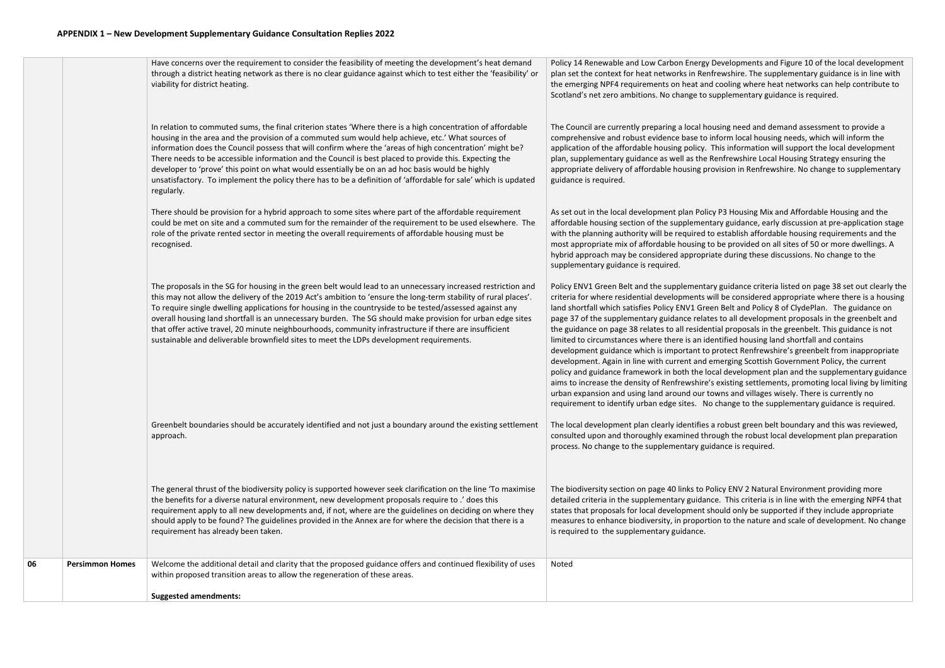|    |                        | <b>Suggested amendments:</b>                                                                                                                                                                                                                                                                                                                                                                                                                                                                                                                                                                                                                                              |                                                                                                                                                                                                                                                                                                                                                                                                                                                                                                                                                                                                      |
|----|------------------------|---------------------------------------------------------------------------------------------------------------------------------------------------------------------------------------------------------------------------------------------------------------------------------------------------------------------------------------------------------------------------------------------------------------------------------------------------------------------------------------------------------------------------------------------------------------------------------------------------------------------------------------------------------------------------|------------------------------------------------------------------------------------------------------------------------------------------------------------------------------------------------------------------------------------------------------------------------------------------------------------------------------------------------------------------------------------------------------------------------------------------------------------------------------------------------------------------------------------------------------------------------------------------------------|
| 06 | <b>Persimmon Homes</b> | Welcome the additional detail and clarity that the proposed guidance offers and continued flexibility of uses<br>within proposed transition areas to allow the regeneration of these areas.                                                                                                                                                                                                                                                                                                                                                                                                                                                                               | Noted                                                                                                                                                                                                                                                                                                                                                                                                                                                                                                                                                                                                |
|    |                        | The general thrust of the biodiversity policy is supported however seek clarification on the line 'To maximise<br>the benefits for a diverse natural environment, new development proposals require to .' does this<br>requirement apply to all new developments and, if not, where are the guidelines on deciding on where they<br>should apply to be found? The guidelines provided in the Annex are for where the decision that there is a<br>requirement has already been taken.                                                                                                                                                                                      | The biodiversity section on page 40 links to Po<br>detailed criteria in the supplementary guidan<br>states that proposals for local development sh<br>measures to enhance biodiversity, in proporti<br>is required to the supplementary guidance.                                                                                                                                                                                                                                                                                                                                                    |
|    |                        | Greenbelt boundaries should be accurately identified and not just a boundary around the existing settlement<br>approach.                                                                                                                                                                                                                                                                                                                                                                                                                                                                                                                                                  | The local development plan clearly identifies a<br>consulted upon and thoroughly examined thre<br>process. No change to the supplementary guid                                                                                                                                                                                                                                                                                                                                                                                                                                                       |
|    |                        | The proposals in the SG for housing in the green belt would lead to an unnecessary increased restriction and<br>this may not allow the delivery of the 2019 Act's ambition to 'ensure the long-term stability of rural places'.<br>To require single dwelling applications for housing in the countryside to be tested/assessed against any<br>overall housing land shortfall is an unnecessary burden. The SG should make provision for urban edge sites<br>that offer active travel, 20 minute neighbourhoods, community infrastructure if there are insufficient<br>sustainable and deliverable brownfield sites to meet the LDPs development requirements.            | Policy ENV1 Green Belt and the supplementar<br>criteria for where residential developments w<br>land shortfall which satisfies Policy ENV1 Gree<br>page 37 of the supplementary guidance relate<br>the guidance on page 38 relates to all residen<br>limited to circumstances where there is an ide<br>development guidance which is important to<br>development. Again in line with current and e<br>policy and guidance framework in both the lo<br>aims to increase the density of Renfrewshire's<br>urban expansion and using land around our to<br>requirement to identify urban edge sites. No |
|    |                        | There should be provision for a hybrid approach to some sites where part of the affordable requirement<br>could be met on site and a commuted sum for the remainder of the requirement to be used elsewhere. The<br>role of the private rented sector in meeting the overall requirements of affordable housing must be<br>recognised.                                                                                                                                                                                                                                                                                                                                    | As set out in the local development plan Polic<br>affordable housing section of the supplement<br>with the planning authority will be required to<br>most appropriate mix of affordable housing to<br>hybrid approach may be considered appropria<br>supplementary guidance is required.                                                                                                                                                                                                                                                                                                             |
|    |                        | In relation to commuted sums, the final criterion states 'Where there is a high concentration of affordable<br>housing in the area and the provision of a commuted sum would help achieve, etc.' What sources of<br>information does the Council possess that will confirm where the 'areas of high concentration' might be?<br>There needs to be accessible information and the Council is best placed to provide this. Expecting the<br>developer to 'prove' this point on what would essentially be on an ad hoc basis would be highly<br>unsatisfactory. To implement the policy there has to be a definition of 'affordable for sale' which is updated<br>regularly. | The Council are currently preparing a local ho<br>comprehensive and robust evidence base to i<br>application of the affordable housing policy.<br>plan, supplementary guidance as well as the F<br>appropriate delivery of affordable housing pro<br>guidance is required.                                                                                                                                                                                                                                                                                                                           |
|    |                        | Have concerns over the requirement to consider the feasibility of meeting the development's heat demand<br>through a district heating network as there is no clear guidance against which to test either the 'feasibility' or<br>viability for district heating.                                                                                                                                                                                                                                                                                                                                                                                                          | Policy 14 Renewable and Low Carbon Energy<br>plan set the context for heat networks in Rent<br>the emerging NPF4 requirements on heat and<br>Scotland's net zero ambitions. No change to s                                                                                                                                                                                                                                                                                                                                                                                                           |
|    |                        |                                                                                                                                                                                                                                                                                                                                                                                                                                                                                                                                                                                                                                                                           |                                                                                                                                                                                                                                                                                                                                                                                                                                                                                                                                                                                                      |

Developments and Figure 10 of the local development frewshire. The supplementary guidance is in line with I cooling where heat networks can help contribute to supplementary guidance is required.

ousing need and demand assessment to provide a inform local housing needs, which will inform the This information will support the local development Renfrewshire Local Housing Strategy ensuring the ovision in Renfrewshire. No change to supplementary

ty P3 Housing Mix and Affordable Housing and the tary guidance, early discussion at pre-application stage o establish affordable housing requirements and the o be provided on all sites of 50 or more dwellings. A ate during these discussions. No change to the

ry guidance criteria listed on page 38 set out clearly the vill be considered appropriate where there is a housing en Belt and Policy 8 of ClydePlan. The guidance on es to all development proposals in the greenbelt and tial proposals in the greenbelt. This guidance is not entified housing land shortfall and contains protect Renfrewshire's greenbelt from inappropriate emerging Scottish Government Policy, the current cal development plan and the supplementary guidance s existing settlements, promoting local living by limiting owns and villages wisely. There is currently no change to the supplementary guidance is required.

a robust green belt boundary and this was reviewed, ough the robust local development plan preparation dance is required.

olicy ENV 2 Natural Environment providing more ce. This criteria is in line with the emerging NPF4 that hould only be supported if they include appropriate ion to the nature and scale of development. No change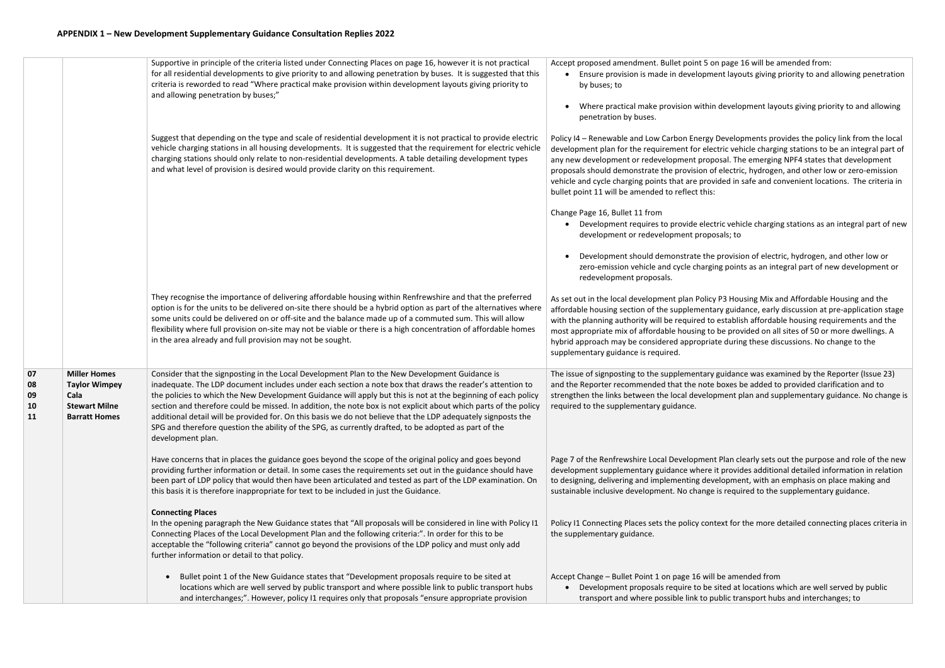|                            |                                                                                                     | Supportive in principle of the criteria listed under Connecting Places on page 16, however it is not practical<br>for all residential developments to give priority to and allowing penetration by buses. It is suggested that this<br>criteria is reworded to read "Where practical make provision within development layouts giving priority to<br>and allowing penetration by buses;"                                                                                                                                                                                                                                                                                                       | Accept proposed amendment. Bullet point 5 o<br>Ensure provision is made in developme<br>by buses; to<br>Where practical make provision within<br>penetration by buses.                                                                                                                             |
|----------------------------|-----------------------------------------------------------------------------------------------------|------------------------------------------------------------------------------------------------------------------------------------------------------------------------------------------------------------------------------------------------------------------------------------------------------------------------------------------------------------------------------------------------------------------------------------------------------------------------------------------------------------------------------------------------------------------------------------------------------------------------------------------------------------------------------------------------|----------------------------------------------------------------------------------------------------------------------------------------------------------------------------------------------------------------------------------------------------------------------------------------------------|
|                            |                                                                                                     | Suggest that depending on the type and scale of residential development it is not practical to provide electric<br>vehicle charging stations in all housing developments. It is suggested that the requirement for electric vehicle<br>charging stations should only relate to non-residential developments. A table detailing development types<br>and what level of provision is desired would provide clarity on this requirement.                                                                                                                                                                                                                                                          | Policy I4 - Renewable and Low Carbon Energy<br>development plan for the requirement for elect<br>any new development or redevelopment prop<br>proposals should demonstrate the provision of<br>vehicle and cycle charging points that are prov<br>bullet point 11 will be amended to reflect this: |
|                            |                                                                                                     |                                                                                                                                                                                                                                                                                                                                                                                                                                                                                                                                                                                                                                                                                                | Change Page 16, Bullet 11 from<br>• Development requires to provide elect<br>development or redevelopment propo                                                                                                                                                                                    |
|                            |                                                                                                     |                                                                                                                                                                                                                                                                                                                                                                                                                                                                                                                                                                                                                                                                                                | Development should demonstrate the<br>zero-emission vehicle and cycle chargi<br>redevelopment proposals.                                                                                                                                                                                           |
|                            |                                                                                                     | They recognise the importance of delivering affordable housing within Renfrewshire and that the preferred<br>option is for the units to be delivered on-site there should be a hybrid option as part of the alternatives where<br>some units could be delivered on or off-site and the balance made up of a commuted sum. This will allow<br>flexibility where full provision on-site may not be viable or there is a high concentration of affordable homes<br>in the area already and full provision may not be sought.                                                                                                                                                                      | As set out in the local development plan Policy<br>affordable housing section of the supplementa<br>with the planning authority will be required to<br>most appropriate mix of affordable housing to<br>hybrid approach may be considered appropria<br>supplementary guidance is required.         |
| 07<br>08<br>09<br>10<br>11 | <b>Miller Homes</b><br><b>Taylor Wimpey</b><br>Cala<br><b>Stewart Milne</b><br><b>Barratt Homes</b> | Consider that the signposting in the Local Development Plan to the New Development Guidance is<br>inadequate. The LDP document includes under each section a note box that draws the reader's attention to<br>the policies to which the New Development Guidance will apply but this is not at the beginning of each policy<br>section and therefore could be missed. In addition, the note box is not explicit about which parts of the policy<br>additional detail will be provided for. On this basis we do not believe that the LDP adequately signposts the<br>SPG and therefore question the ability of the SPG, as currently drafted, to be adopted as part of the<br>development plan. | The issue of signposting to the supplementary<br>and the Reporter recommended that the note<br>strengthen the links between the local develop<br>required to the supplementary guidance.                                                                                                           |
|                            |                                                                                                     | Have concerns that in places the guidance goes beyond the scope of the original policy and goes beyond<br>providing further information or detail. In some cases the requirements set out in the guidance should have<br>been part of LDP policy that would then have been articulated and tested as part of the LDP examination. On<br>this basis it is therefore inappropriate for text to be included in just the Guidance.                                                                                                                                                                                                                                                                 | Page 7 of the Renfrewshire Local Development<br>development supplementary guidance where<br>to designing, delivering and implementing dev<br>sustainable inclusive development. No change                                                                                                          |
|                            |                                                                                                     | <b>Connecting Places</b><br>In the opening paragraph the New Guidance states that "All proposals will be considered in line with Policy I1<br>Connecting Places of the Local Development Plan and the following criteria:". In order for this to be<br>acceptable the "following criteria" cannot go beyond the provisions of the LDP policy and must only add<br>further information or detail to that policy.                                                                                                                                                                                                                                                                                | Policy I1 Connecting Places sets the policy cont<br>the supplementary guidance.                                                                                                                                                                                                                    |
|                            |                                                                                                     | Bullet point 1 of the New Guidance states that "Development proposals require to be sited at<br>$\bullet$<br>locations which are well served by public transport and where possible link to public transport hubs<br>and interchanges;". However, policy I1 requires only that proposals "ensure appropriate provision                                                                                                                                                                                                                                                                                                                                                                         | Accept Change - Bullet Point 1 on page 16 will<br>Development proposals require to be<br>transport and where possible link to p                                                                                                                                                                    |

Iom page 16 will be amended from: ent layouts giving priority to and allowing penetration

development layouts giving priority to and allowing

Developments provides the policy link from the local ctric vehicle charging stations to be an integral part of osal. The emerging NPF4 states that development f electric, hydrogen, and other low or zero-emission vided in safe and convenient locations. The criteria in

tric vehicle charging stations as an integral part of new osals; to

e provision of electric, hydrogen, and other low or ng points as an integral part of new development or

**P3 Housing Mix and Affordable Housing and the** ary guidance, early discussion at pre-application stage establish affordable housing requirements and the be provided on all sites of 50 or more dwellings. A ate during these discussions. No change to the

guidance was examined by the Reporter (Issue 23) boxes be added to provided clarification and to pment plan and supplementary guidance. No change is

t Plan clearly sets out the purpose and role of the new it provides additional detailed information in relation relopment, with an emphasis on place making and is required to the supplementary guidance.

text for the more detailed connecting places criteria in

be amended from sited at locations which are well served by public ublic transport hubs and interchanges; to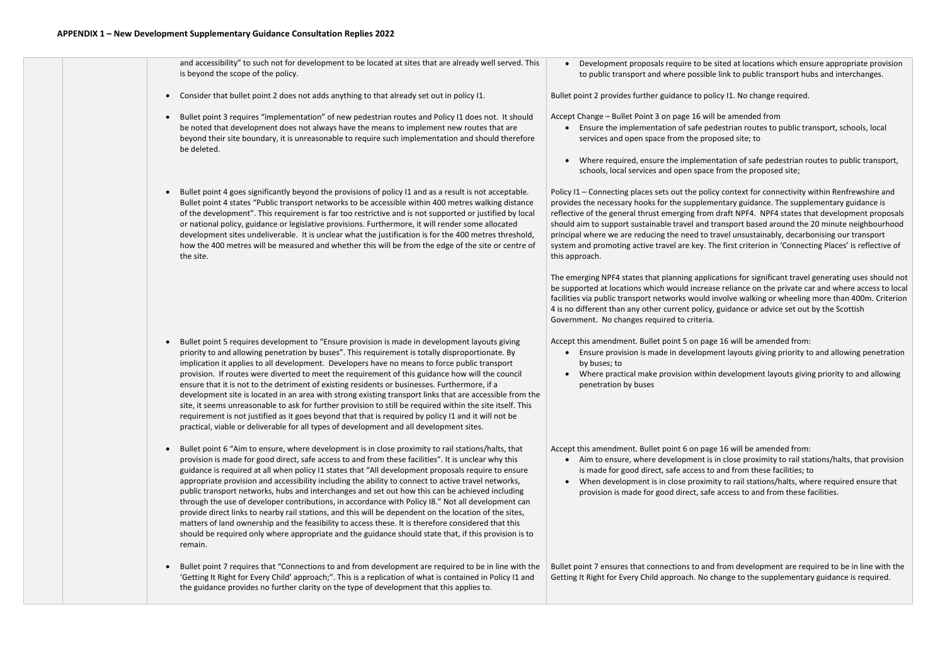|           | and accessibility" to such not for development to be located at sites that are already well served. This<br>is beyond the scope of the policy.                                                                                                                                                                                                                                                                                                                                                                                                                                                                                                                                                                                                                                                                                                                                                                                                                          | Development proposals require to be s<br>to public transport and where possible                                                                                                                                                                                                                                                                                               |
|-----------|-------------------------------------------------------------------------------------------------------------------------------------------------------------------------------------------------------------------------------------------------------------------------------------------------------------------------------------------------------------------------------------------------------------------------------------------------------------------------------------------------------------------------------------------------------------------------------------------------------------------------------------------------------------------------------------------------------------------------------------------------------------------------------------------------------------------------------------------------------------------------------------------------------------------------------------------------------------------------|-------------------------------------------------------------------------------------------------------------------------------------------------------------------------------------------------------------------------------------------------------------------------------------------------------------------------------------------------------------------------------|
| $\bullet$ | Consider that bullet point 2 does not adds anything to that already set out in policy I1.                                                                                                                                                                                                                                                                                                                                                                                                                                                                                                                                                                                                                                                                                                                                                                                                                                                                               | Bullet point 2 provides further guidance to poli                                                                                                                                                                                                                                                                                                                              |
|           | Bullet point 3 requires "implementation" of new pedestrian routes and Policy I1 does not. It should<br>be noted that development does not always have the means to implement new routes that are<br>beyond their site boundary, it is unreasonable to require such implementation and should therefore<br>be deleted.                                                                                                                                                                                                                                                                                                                                                                                                                                                                                                                                                                                                                                                   | Accept Change - Bullet Point 3 on page 16 will<br>Ensure the implementation of safe ped<br>services and open space from the prop<br>Where required, ensure the implemen<br>schools, local services and open space                                                                                                                                                             |
|           | Bullet point 4 goes significantly beyond the provisions of policy I1 and as a result is not acceptable.<br>Bullet point 4 states "Public transport networks to be accessible within 400 metres walking distance<br>of the development". This requirement is far too restrictive and is not supported or justified by local<br>or national policy, guidance or legislative provisions. Furthermore, it will render some allocated<br>development sites undeliverable. It is unclear what the justification is for the 400 metres threshold,<br>how the 400 metres will be measured and whether this will be from the edge of the site or centre of<br>the site.                                                                                                                                                                                                                                                                                                          | Policy I1 - Connecting places sets out the polic<br>provides the necessary hooks for the suppleme<br>reflective of the general thrust emerging from<br>should aim to support sustainable travel and tr<br>principal where we are reducing the need to tr<br>system and promoting active travel are key. Th<br>this approach.<br>The emerging NPF4 states that planning applic |
|           |                                                                                                                                                                                                                                                                                                                                                                                                                                                                                                                                                                                                                                                                                                                                                                                                                                                                                                                                                                         | be supported at locations which would increas<br>facilities via public transport networks would in<br>4 is no different than any other current policy,<br>Government. No changes required to criteria.                                                                                                                                                                        |
|           | Bullet point 5 requires development to "Ensure provision is made in development layouts giving<br>priority to and allowing penetration by buses". This requirement is totally disproportionate. By<br>implication it applies to all development. Developers have no means to force public transport<br>provision. If routes were diverted to meet the requirement of this guidance how will the council<br>ensure that it is not to the detriment of existing residents or businesses. Furthermore, if a<br>development site is located in an area with strong existing transport links that are accessible from the<br>site, it seems unreasonable to ask for further provision to still be required within the site itself. This<br>requirement is not justified as it goes beyond that that is required by policy I1 and it will not be<br>practical, viable or deliverable for all types of development and all development sites.                                  | Accept this amendment. Bullet point 5 on page<br>Ensure provision is made in developme<br>by buses; to<br>Where practical make provision within<br>penetration by buses                                                                                                                                                                                                       |
|           | Bullet point 6 "Aim to ensure, where development is in close proximity to rail stations/halts, that<br>provision is made for good direct, safe access to and from these facilities". It is unclear why this<br>guidance is required at all when policy I1 states that "All development proposals require to ensure<br>appropriate provision and accessibility including the ability to connect to active travel networks,<br>public transport networks, hubs and interchanges and set out how this can be achieved including<br>through the use of developer contributions, in accordance with Policy I8." Not all development can<br>provide direct links to nearby rail stations, and this will be dependent on the location of the sites,<br>matters of land ownership and the feasibility to access these. It is therefore considered that this<br>should be required only where appropriate and the guidance should state that, if this provision is to<br>remain. | Accept this amendment. Bullet point 6 on page<br>Aim to ensure, where development is i<br>is made for good direct, safe access to<br>When development is in close proximit<br>provision is made for good direct, safe                                                                                                                                                         |
|           | Bullet point 7 requires that "Connections to and from development are required to be in line with the<br>'Getting It Right for Every Child' approach;". This is a replication of what is contained in Policy I1 and<br>the guidance provides no further clarity on the type of development that this applies to.                                                                                                                                                                                                                                                                                                                                                                                                                                                                                                                                                                                                                                                        | Bullet point 7 ensures that connections to and<br>Getting It Right for Every Child approach. No cl                                                                                                                                                                                                                                                                            |
|           |                                                                                                                                                                                                                                                                                                                                                                                                                                                                                                                                                                                                                                                                                                                                                                                                                                                                                                                                                                         |                                                                                                                                                                                                                                                                                                                                                                               |

e sited at locations which ensure appropriate provision ble link to public transport hubs and interchanges.

olicy I1. No change required.

- vill be amended from
- edestrian routes to public transport, schools, local oposed site; to

entation of safe pedestrian routes to public transport, se from the proposed site;

licy context for connectivity within Renfrewshire and mentary guidance. The supplementary guidance is m draft NPF4. NPF4 states that development proposals I transport based around the 20 minute neighbourhood travel unsustainably, decarbonising our transport The first criterion in 'Connecting Places' is reflective of

lications for significant travel generating uses should not ase reliance on the private car and where access to local facilities via public transport in avolve walking or wheeling more than 400m. Criterion y, guidance or advice set out by the Scottish

age 16 will be amended from: ment layouts giving priority to and allowing penetration

in development layouts giving priority to and allowing

Accept this amended from:

- is in close proximity to rail stations/halts, that provision to and from these facilities; to
- mity to rail stations/halts, where required ensure that fe access to and from these facilities.

ad from development are required to be in line with the change to the supplementary guidance is required.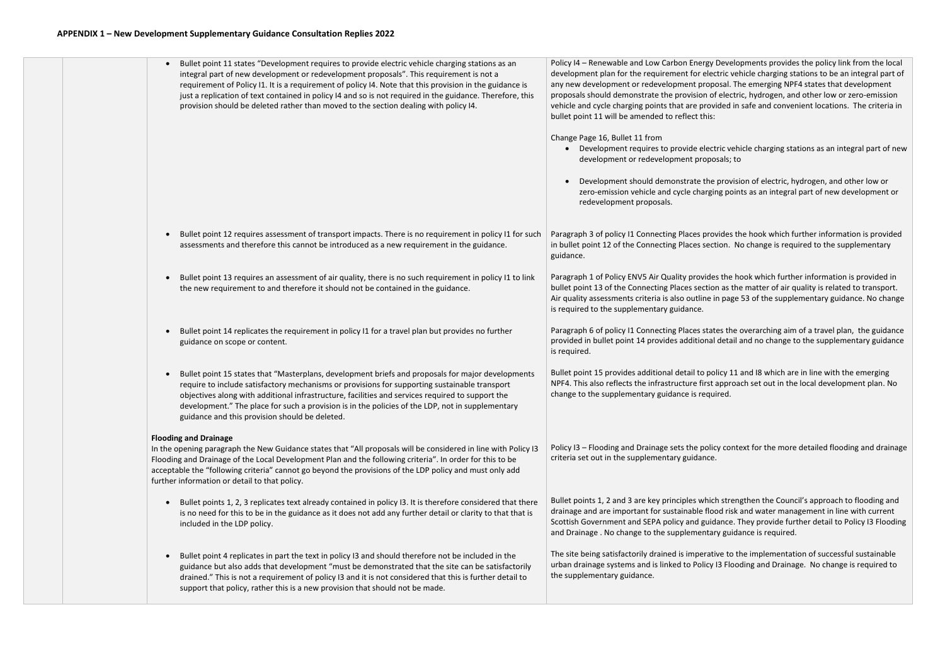### **APPENDIX 1 – New Development Supplementary Guidance Consultation Replies 2022**



Policy I4 – Renewable and Low Carbon Energy Developments provides the policy link from the local development plan for the requirement for electric vehicle charging stations to be an integral part of any new development or redevelopment proposal. The emerging NPF4 states that development proposals should demonstrate the provision of electric, hydrogen, and other low or zero-emission vehicle and cycle charging points that are provided in safe and convenient locations. The criteria in

• Development requires to provide electric vehicle charging stations as an integral part of new

• Development should demonstrate the provision of electric, hydrogen, and other low or zero-emission vehicle and cycle charging points as an integral part of new development or

Paragraph 3 of policy I1 Connecting Places provides the hook which further information is provided in bullet point 12 of the Connecting Places section. No change is required to the supplementary

Paragraph 1 of Policy ENV5 Air Quality provides the hook which further information is provided in bullet point 13 of the Connecting Places section as the matter of air quality is related to transport. Air quality assessments criteria is also outline in page 53 of the supplementary guidance. No change

Paragraph 6 of policy I1 Connecting Places states the overarching aim of a travel plan, the guidance provided in bullet point 14 provides additional detail and no change to the supplementary guidance

Bullet point 15 provides additional detail to policy 11 and I8 which are in line with the emerging NPF4. This also reflects the infrastructure first approach set out in the local development plan. No

Policy I3 – Flooding and Drainage sets the policy context for the more detailed flooding and drainage

Bullet points 1, 2 and 3 are key principles which strengthen the Council's approach to flooding and drainage and are important for sustainable flood risk and water management in line with current Scottish Government and SEPA policy and guidance. They provide further detail to Policy I3 Flooding

The site being satisfactorily drained is imperative to the implementation of successful sustainable urban drainage systems and is linked to Policy I3 Flooding and Drainage. No change is required to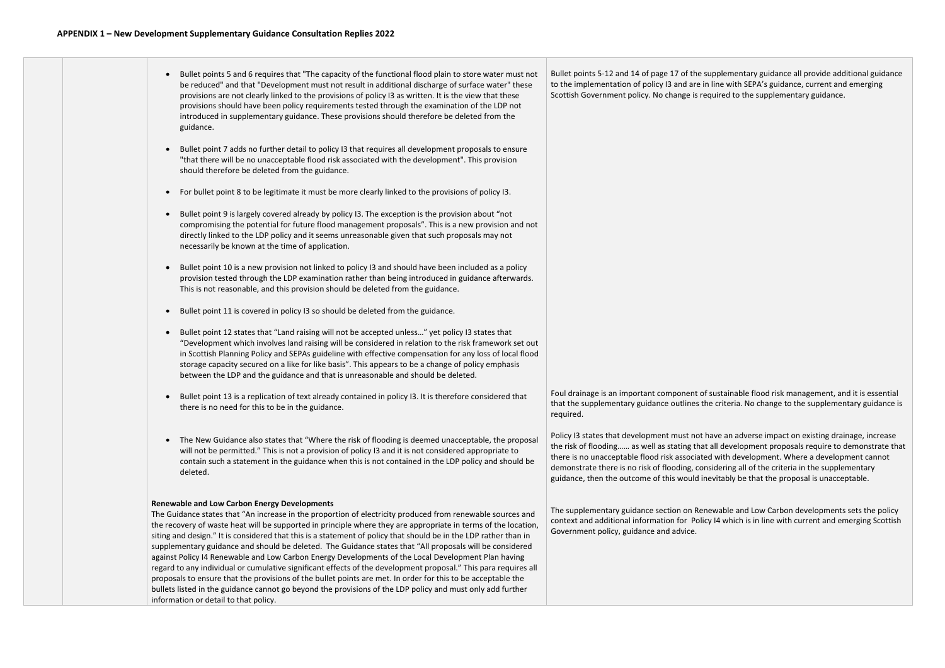|  | Bullet points 5 and 6 requires that "The capacity of the functional flood plain to store water must not<br>be reduced" and that "Development must not result in additional discharge of surface water" these<br>provisions are not clearly linked to the provisions of policy I3 as written. It is the view that these<br>provisions should have been policy requirements tested through the examination of the LDP not<br>introduced in supplementary guidance. These provisions should therefore be deleted from the<br>guidance.                                                                                                                                                                                                                                                                                                                                                                                                                                                                                  | Bullet points 5-12 and 14 of page 17 of the su<br>to the implementation of policy I3 and are in<br>Scottish Government policy. No change is req                                                                                                   |
|--|----------------------------------------------------------------------------------------------------------------------------------------------------------------------------------------------------------------------------------------------------------------------------------------------------------------------------------------------------------------------------------------------------------------------------------------------------------------------------------------------------------------------------------------------------------------------------------------------------------------------------------------------------------------------------------------------------------------------------------------------------------------------------------------------------------------------------------------------------------------------------------------------------------------------------------------------------------------------------------------------------------------------|---------------------------------------------------------------------------------------------------------------------------------------------------------------------------------------------------------------------------------------------------|
|  | Bullet point 7 adds no further detail to policy I3 that requires all development proposals to ensure<br>"that there will be no unacceptable flood risk associated with the development". This provision<br>should therefore be deleted from the guidance.                                                                                                                                                                                                                                                                                                                                                                                                                                                                                                                                                                                                                                                                                                                                                            |                                                                                                                                                                                                                                                   |
|  | For bullet point 8 to be legitimate it must be more clearly linked to the provisions of policy I3.                                                                                                                                                                                                                                                                                                                                                                                                                                                                                                                                                                                                                                                                                                                                                                                                                                                                                                                   |                                                                                                                                                                                                                                                   |
|  | Bullet point 9 is largely covered already by policy I3. The exception is the provision about "not<br>compromising the potential for future flood management proposals". This is a new provision and not<br>directly linked to the LDP policy and it seems unreasonable given that such proposals may not<br>necessarily be known at the time of application.                                                                                                                                                                                                                                                                                                                                                                                                                                                                                                                                                                                                                                                         |                                                                                                                                                                                                                                                   |
|  | Bullet point 10 is a new provision not linked to policy I3 and should have been included as a policy<br>provision tested through the LDP examination rather than being introduced in guidance afterwards.<br>This is not reasonable, and this provision should be deleted from the guidance.                                                                                                                                                                                                                                                                                                                                                                                                                                                                                                                                                                                                                                                                                                                         |                                                                                                                                                                                                                                                   |
|  | Bullet point 11 is covered in policy I3 so should be deleted from the guidance.                                                                                                                                                                                                                                                                                                                                                                                                                                                                                                                                                                                                                                                                                                                                                                                                                                                                                                                                      |                                                                                                                                                                                                                                                   |
|  | Bullet point 12 states that "Land raising will not be accepted unless" yet policy I3 states that<br>"Development which involves land raising will be considered in relation to the risk framework set out<br>in Scottish Planning Policy and SEPAs guideline with effective compensation for any loss of local flood<br>storage capacity secured on a like for like basis". This appears to be a change of policy emphasis<br>between the LDP and the guidance and that is unreasonable and should be deleted.                                                                                                                                                                                                                                                                                                                                                                                                                                                                                                       |                                                                                                                                                                                                                                                   |
|  | Bullet point 13 is a replication of text already contained in policy I3. It is therefore considered that<br>there is no need for this to be in the guidance.                                                                                                                                                                                                                                                                                                                                                                                                                                                                                                                                                                                                                                                                                                                                                                                                                                                         | Foul drainage is an important component of s<br>that the supplementary guidance outlines the<br>required.                                                                                                                                         |
|  | The New Guidance also states that "Where the risk of flooding is deemed unacceptable, the proposal<br>$\bullet$<br>will not be permitted." This is not a provision of policy I3 and it is not considered appropriate to<br>contain such a statement in the guidance when this is not contained in the LDP policy and should be<br>deleted.                                                                                                                                                                                                                                                                                                                                                                                                                                                                                                                                                                                                                                                                           | Policy I3 states that development must not ha<br>the risk of flooding as well as stating that<br>there is no unacceptable flood risk associated<br>demonstrate there is no risk of flooding, cons<br>guidance, then the outcome of this would ine |
|  | <b>Renewable and Low Carbon Energy Developments</b><br>The Guidance states that "An increase in the proportion of electricity produced from renewable sources and<br>the recovery of waste heat will be supported in principle where they are appropriate in terms of the location,<br>siting and design." It is considered that this is a statement of policy that should be in the LDP rather than in<br>supplementary guidance and should be deleted. The Guidance states that "All proposals will be considered<br>against Policy I4 Renewable and Low Carbon Energy Developments of the Local Development Plan having<br>regard to any individual or cumulative significant effects of the development proposal." This para requires all<br>proposals to ensure that the provisions of the bullet points are met. In order for this to be acceptable the<br>bullets listed in the guidance cannot go beyond the provisions of the LDP policy and must only add further<br>information or detail to that policy. | The supplementary guidance section on Rene<br>context and additional information for Policy<br>Government policy, guidance and advice.                                                                                                            |

applementary guidance all provide additional guidance line with SEPA's guidance, current and emerging quired to the supplementary guidance.

sustainable flood risk management, and it is essential e criteria. No change to the supplementary guidance is

ave an adverse impact on existing drainage, increase all development proposals require to demonstrate that t with development. Where a development cannot sidering all of the criteria in the supplementary evitably be that the proposal is unacceptable.

ewable and Low Carbon developments sets the policy  $\alpha$  I4 which is in line with current and emerging Scottish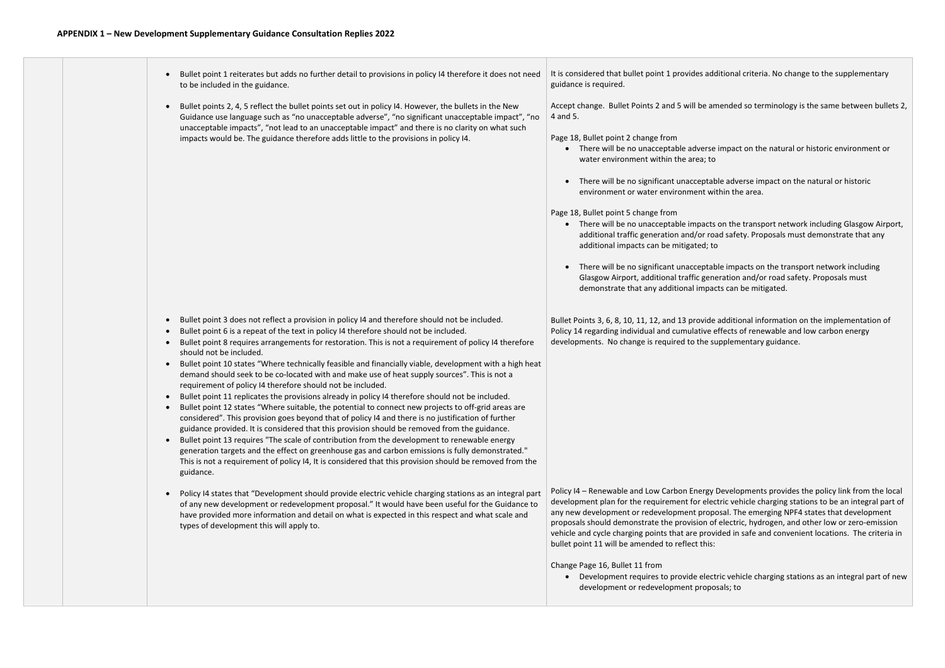• Bullet point 1 reiterates but adds no further detail to provisions in policy I4 therefore it does not need to be included in the guidance. • Bullet points 2, 4, 5 reflect the bullet points set out in policy I4. However, the bullets in the New Guidance use language such as "no unacceptable adverse", "no significant unacceptable impact", "no unacceptable impacts", "not lead to an unacceptable impact" and there is no clarity on what such impacts would be. The guidance therefore adds little to the provisions in policy I4. • Bullet point 3 does not reflect a provision in policy I4 and therefore should not be included. • Bullet point 6 is a repeat of the text in policy I4 therefore should not be included. • Bullet point 8 requires arrangements for restoration. This is not a requirement of policy I4 therefore should not be included. • Bullet point 10 states "Where technically feasible and financially viable, development with a high heat demand should seek to be co-located with and make use of heat supply sources". This is not a requirement of policy I4 therefore should not be included. • Bullet point 11 replicates the provisions already in policy I4 therefore should not be included. • Bullet point 12 states "Where suitable, the potential to connect new projects to off-grid areas are considered". This provision goes beyond that of policy I4 and there is no justification of further guidance provided. It is considered that this provision should be removed from the guidance. • Bullet point 13 requires "The scale of contribution from the development to renewable energy generation targets and the effect on greenhouse gas and carbon emissions is fully demonstrated." This is not a requirement of policy I4, It is considered that this provision should be removed from the guidance. • Policy I4 states that "Development should provide electric vehicle charging stations as an integral part of any new development or redevelopment proposal." It would have been useful for the Guidance to have provided more information and detail on what is expected in this respect and what scale and types of development this will apply to. It is considered that bullet point 1 provides additional criteria. No change to the supplementary guidance is required. Accept change. Bullet Points 2 and 5 will be amended so terminology is the same between bullets 2, 4 and 5. Page 18, Bullet point 2 change from • There will be no unacceptable adverse impact on the natural or historic environment or water environment within the area; to • There will be no significant unacceptable adverse impact on the natural or historic environment or water environment within the area. Page 18, Bullet point 5 change from • There will be no unacceptable impacts on the transport network including Glasgow Airport, additional traffic generation and/or road safety. Proposals must demonstrate that any additional impacts can be mitigated; to • There will be no significant unacceptable impacts on the transport network including Glasgow Airport, additional traffic generation and/or road safety. Proposals must demonstrate that any additional impacts can be mitigated. Bullet Points 3, 6, 8, 10, 11, 12, and 13 provide additional information on the implementation of Policy 14 regarding individual and cumulative effects of renewable and low carbon energy developments. No change is required to the supplementary guidance. Policy I4 – Renewable and Low Carbon Energy Developments provides the policy link from the local development plan for the requirement for electric vehicle charging stations to be an integral part of any new development or redevelopment proposal. The emerging NPF4 states that development proposals should demonstrate the provision of electric, hydrogen, and other low or zero-emission vehicle and cycle charging points that are provided in safe and convenient locations. The criteria in bullet point 11 will be amended to reflect this: Change Page 16, Bullet 11 from • Development requires to provide electric vehicle charging stations as an integral part of new development or redevelopment proposals; to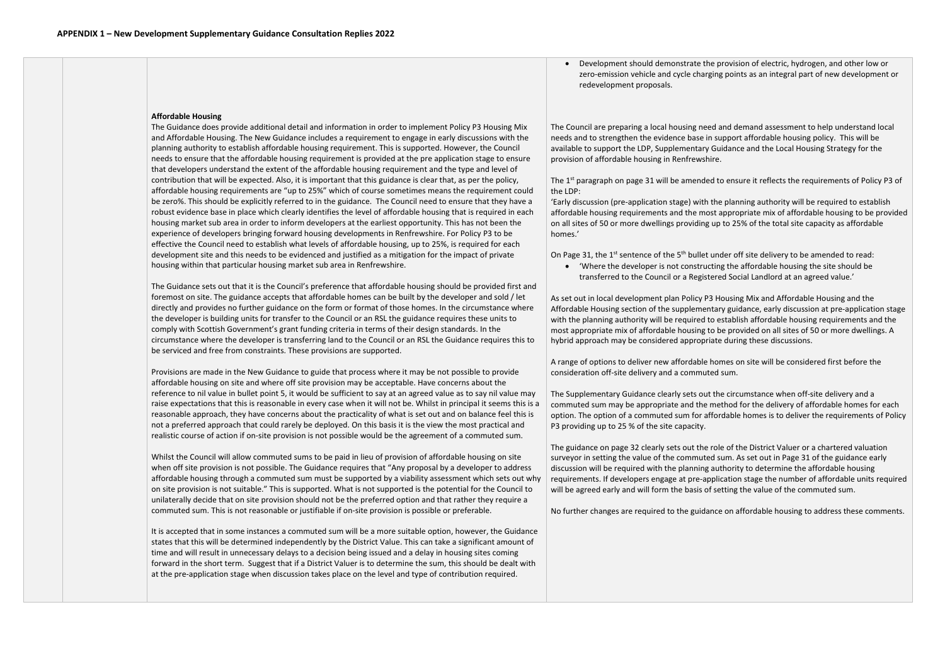#### **Affordable Housing**

The Guidance does provide additional detail and information in order to implement Policy P3 Housing Mix and Affordable Housing. The New Guidance includes a requirement to engage in early discussions with the planning authority to establish affordable housing requirement. This is supported. However, the Council needs to ensure that the affordable housing requirement is provided at the pre application stage to ensure that developers understand the extent of the affordable housing requirement and the type and level of contribution that will be expected. Also, it is important that this guidance is clear that, as per the policy, affordable housing requirements are "up to 25%" which of course sometimes means the requirement could be zero%. This should be explicitly referred to in the guidance. The Council need to ensure that they have a robust evidence base in place which clearly identifies the level of affordable housing that is required in each housing market sub area in order to inform developers at the earliest opportunity. This has not been the experience of developers bringing forward housing developments in Renfrewshire. For Policy P3 to be effective the Council need to establish what levels of affordable housing, up to 25%, is required for each development site and this needs to be evidenced and justified as a mitigation for the impact of private housing within that particular housing market sub area in Renfrewshire.

The Guidance sets out that it is the Council's preference that affordable housing should be provided first and foremost on site. The guidance accepts that affordable homes can be built by the developer and sold / let directly and provides no further guidance on the form or format of those homes. In the circumstance where the developer is building units for transfer to the Council or an RSL the guidance requires these units to comply with Scottish Government's grant funding criteria in terms of their design standards. In the circumstance where the developer is transferring land to the Council or an RSL the Guidance requires this to be serviced and free from constraints. These provisions are supported.

The  $1<sup>st</sup>$  paragraph on page 31 will be amended to ensure it reflects the requirements of Policy P3 of the LDP:

Provisions are made in the New Guidance to guide that process where it may be not possible to provide affordable housing on site and where off site provision may be acceptable. Have concerns about the reference to nil value in bullet point 5, it would be sufficient to say at an agreed value as to say nil value may raise expectations that this is reasonable in every case when it will not be. Whilst in principal it seems this is a reasonable approach, they have concerns about the practicality of what is set out and on balance feel this is not a preferred approach that could rarely be deployed. On this basis it is the view the most practical and realistic course of action if on-site provision is not possible would be the agreement of a commuted sum.

On Page 31, the  $1^{st}$  sentence of the  $5^{th}$  bullet under off site delivery to be amended to read: • 'Where the developer is not constructing the affordable housing the site should be transferred to the Council or a Registered Social Landlord at an agreed value.'

Whilst the Council will allow commuted sums to be paid in lieu of provision of affordable housing on site when off site provision is not possible. The Guidance requires that "Any proposal by a developer to address affordable housing through a commuted sum must be supported by a viability assessment which sets out why on site provision is not suitable." This is supported. What is not supported is the potential for the Council to unilaterally decide that on site provision should not be the preferred option and that rather they require a commuted sum. This is not reasonable or justifiable if on-site provision is possible or preferable.

It is accepted that in some instances a commuted sum will be a more suitable option, however, the Guidance states that this will be determined independently by the District Value. This can take a significant amount of time and will result in unnecessary delays to a decision being issued and a delay in housing sites coming forward in the short term. Suggest that if a District Valuer is to determine the sum, this should be dealt with at the pre-application stage when discussion takes place on the level and type of contribution required.

• Development should demonstrate the provision of electric, hydrogen, and other low or zero-emission vehicle and cycle charging points as an integral part of new development or

redevelopment proposals.

The Council are preparing a local housing need and demand assessment to help understand local needs and to strengthen the evidence base in support affordable housing policy. This will be available to support the LDP, Supplementary Guidance and the Local Housing Strategy for the provision of affordable housing in Renfrewshire.

'Early discussion (pre-application stage) with the planning authority will be required to establish affordable housing requirements and the most appropriate mix of affordable housing to be provided on all sites of 50 or more dwellings providing up to 25% of the total site capacity as affordable homes.'

As set out in local development plan Policy P3 Housing Mix and Affordable Housing and the Affordable Housing section of the supplementary guidance, early discussion at pre-application stage with the planning authority will be required to establish affordable housing requirements and the most appropriate mix of affordable housing to be provided on all sites of 50 or more dwellings. A hybrid approach may be considered appropriate during these discussions.

A range of options to deliver new affordable homes on site will be considered first before the consideration off-site delivery and a commuted sum.

The Supplementary Guidance clearly sets out the circumstance when off-site delivery and a commuted sum may be appropriate and the method for the delivery of affordable homes for each option. The option of a commuted sum for affordable homes is to deliver the requirements of Policy P3 providing up to 25 % of the site capacity.

The guidance on page 32 clearly sets out the role of the District Valuer or a chartered valuation surveyor in setting the value of the commuted sum. As set out in Page 31 of the guidance early discussion will be required with the planning authority to determine the affordable housing requirements. If developers engage at pre-application stage the number of affordable units required will be agreed early and will form the basis of setting the value of the commuted sum.

No further changes are required to the guidance on affordable housing to address these comments.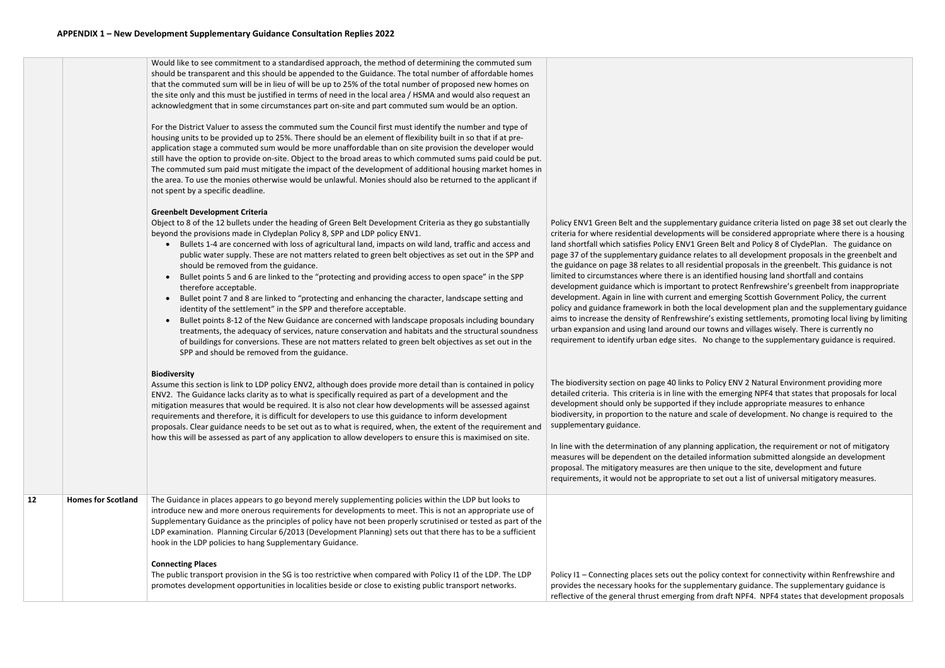|    |                           | Would like to see commitment to a standardised approach, the method of determining the commuted sum<br>should be transparent and this should be appended to the Guidance. The total number of affordable homes<br>that the commuted sum will be in lieu of will be up to 25% of the total number of proposed new homes on<br>the site only and this must be justified in terms of need in the local area / HSMA and would also request an<br>acknowledgment that in some circumstances part on-site and part commuted sum would be an option.<br>For the District Valuer to assess the commuted sum the Council first must identify the number and type of<br>housing units to be provided up to 25%. There should be an element of flexibility built in so that if at pre-<br>application stage a commuted sum would be more unaffordable than on site provision the developer would<br>still have the option to provide on-site. Object to the broad areas to which commuted sums paid could be put.<br>The commuted sum paid must mitigate the impact of the development of additional housing market homes in<br>the area. To use the monies otherwise would be unlawful. Monies should also be returned to the applicant if<br>not spent by a specific deadline.<br><b>Greenbelt Development Criteria</b> |                                                                                                                                                                                                                                                                                                                                                                                                                                                                                                                                                                                                               |
|----|---------------------------|----------------------------------------------------------------------------------------------------------------------------------------------------------------------------------------------------------------------------------------------------------------------------------------------------------------------------------------------------------------------------------------------------------------------------------------------------------------------------------------------------------------------------------------------------------------------------------------------------------------------------------------------------------------------------------------------------------------------------------------------------------------------------------------------------------------------------------------------------------------------------------------------------------------------------------------------------------------------------------------------------------------------------------------------------------------------------------------------------------------------------------------------------------------------------------------------------------------------------------------------------------------------------------------------------------------|---------------------------------------------------------------------------------------------------------------------------------------------------------------------------------------------------------------------------------------------------------------------------------------------------------------------------------------------------------------------------------------------------------------------------------------------------------------------------------------------------------------------------------------------------------------------------------------------------------------|
|    |                           | Object to 8 of the 12 bullets under the heading of Green Belt Development Criteria as they go substantially<br>beyond the provisions made in Clydeplan Policy 8, SPP and LDP policy ENV1.<br>Bullets 1-4 are concerned with loss of agricultural land, impacts on wild land, traffic and access and<br>$\bullet$<br>public water supply. These are not matters related to green belt objectives as set out in the SPP and<br>should be removed from the guidance.<br>Bullet points 5 and 6 are linked to the "protecting and providing access to open space" in the SPP<br>$\bullet$<br>therefore acceptable.<br>Bullet point 7 and 8 are linked to "protecting and enhancing the character, landscape setting and<br>$\bullet$<br>identity of the settlement" in the SPP and therefore acceptable.<br>Bullet points 8-12 of the New Guidance are concerned with landscape proposals including boundary<br>treatments, the adequacy of services, nature conservation and habitats and the structural soundness<br>of buildings for conversions. These are not matters related to green belt objectives as set out in the<br>SPP and should be removed from the guidance.                                                                                                                                       | Policy ENV1 Green Belt and the supplemental<br>criteria for where residential developments w<br>land shortfall which satisfies Policy ENV1 Gree<br>page 37 of the supplementary guidance relate<br>the guidance on page 38 relates to all residen<br>limited to circumstances where there is an ide<br>development guidance which is important to<br>development. Again in line with current and $\epsilon$<br>policy and guidance framework in both the lo<br>aims to increase the density of Renfrewshire's<br>urban expansion and using land around our to<br>requirement to identify urban edge sites. No |
|    |                           | <b>Biodiversity</b><br>Assume this section is link to LDP policy ENV2, although does provide more detail than is contained in policy<br>ENV2. The Guidance lacks clarity as to what is specifically required as part of a development and the<br>mitigation measures that would be required. It is also not clear how developments will be assessed against<br>requirements and therefore, it is difficult for developers to use this guidance to inform development<br>proposals. Clear guidance needs to be set out as to what is required, when, the extent of the requirement and<br>how this will be assessed as part of any application to allow developers to ensure this is maximised on site.                                                                                                                                                                                                                                                                                                                                                                                                                                                                                                                                                                                                         | The biodiversity section on page 40 links to Po<br>detailed criteria. This criteria is in line with th<br>development should only be supported if the<br>biodiversity, in proportion to the nature and s<br>supplementary guidance.<br>In line with the determination of any planning<br>measures will be dependent on the detailed i<br>proposal. The mitigatory measures are then u<br>requirements, it would not be appropriate to                                                                                                                                                                         |
| 12 | <b>Homes for Scotland</b> | The Guidance in places appears to go beyond merely supplementing policies within the LDP but looks to<br>introduce new and more onerous requirements for developments to meet. This is not an appropriate use of<br>Supplementary Guidance as the principles of policy have not been properly scrutinised or tested as part of the<br>LDP examination. Planning Circular 6/2013 (Development Planning) sets out that there has to be a sufficient<br>hook in the LDP policies to hang Supplementary Guidance.<br><b>Connecting Places</b><br>The public transport provision in the SG is too restrictive when compared with Policy I1 of the LDP. The LDP<br>promotes development opportunities in localities beside or close to existing public transport networks.                                                                                                                                                                                                                                                                                                                                                                                                                                                                                                                                           | Policy I1 - Connecting places sets out the poli<br>provides the necessary hooks for the supplem<br>reflective of the general thrust emerging from                                                                                                                                                                                                                                                                                                                                                                                                                                                             |

ry guidance criteria listed on page 38 set out clearly the vill be considered appropriate where there is a housing en Belt and Policy 8 of ClydePlan. The guidance on es to all development proposals in the greenbelt and tial proposals in the greenbelt. This guidance is not entified housing land shortfall and contains protect Renfrewshire's greenbelt from inappropriate emerging Scottish Government Policy, the current ocal development plan and the supplementary guidance 's existing settlements, promoting local living by limiting owns and villages wisely. There is currently no reprentify change to the supplementary guidance is required.

olicy ENV 2 Natural Environment providing more ne emerging NPF4 that states that proposals for local y include appropriate measures to enhance scale of development. No change is required to the

g application, the requirement or not of mitigatory information submitted alongside an development inique to the site, development and future  $\epsilon$  set out a list of universal mitigatory measures.

icy context for connectivity within Renfrewshire and nentary guidance. The supplementary guidance is m draft NPF4. NPF4 states that development proposals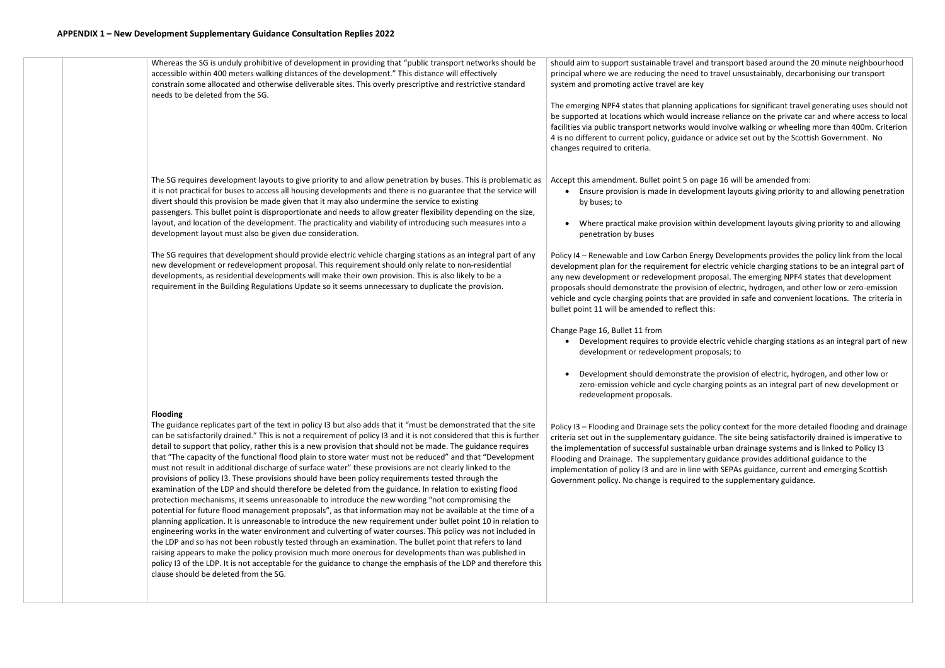Whereas the SG is unduly prohibitive of development in providing that "public transport networks should be accessible within 400 meters walking distances of the development." This distance will effectively constrain some allocated and otherwise deliverable sites. This overly prescriptive and restrictive standard needs to be deleted from the SG.

it is not practical for buses to access all housing developments and there is no guarantee that the service will

divert should this provision be made given that it may also undermine the service to existing

passengers. This bullet point is disproportionate and needs to allow greater flexibility depending on the size, layout, and location of the development. The practicality and viability of introducing such measures into a

development layout must also be given due consideration.

The SG requires that development should provide electric vehicle charging stations as an integral part of any

new development or redevelopment proposal. This requirement should only relate to non-residential developments, as residential developments will make their own provision. This is also likely to be a requirement in the Building Regulations Update so it seems unnecessary to duplicate the provision.

**Flooding** 

The SG requires development layouts to give priority to and allow penetration by buses. This is problematic as Accept this amendment. Bullet point 5 on page 16 will be amended from: • Ensure provision is made in development layouts giving priority to and allowing penetration

The guidance replicates part of the text in policy I3 but also adds that it "must be demonstrated that the site can be satisfactorily drained." This is not a requirement of policy I3 and it is not considered that this is further detail to support that policy, rather this is a new provision that should not be made. The guidance requires that "The capacity of the functional flood plain to store water must not be reduced" and that "Development must not result in additional discharge of surface water" these provisions are not clearly linked to the provisions of policy I3. These provisions should have been policy requirements tested through the examination of the LDP and should therefore be deleted from the guidance. In relation to existing flood protection mechanisms, it seems unreasonable to introduce the new wording "not compromising the potential for future flood management proposals", as that information may not be available at the time of a planning application. It is unreasonable to introduce the new requirement under bullet point 10 in relation to engineering works in the water environment and culverting of water courses. This policy was not included in the LDP and so has not been robustly tested through an examination. The bullet point that refers to land raising appears to make the policy provision much more onerous for developments than was published in policy I3 of the LDP. It is not acceptable for the guidance to change the emphasis of the LDP and therefore this clause should be deleted from the SG.

should aim to support sustainable travel and transport based around the 20 minute neighbourhood principal where we are reducing the need to travel unsustainably, decarbonising our transport system and promoting active travel are key

The emerging NPF4 states that planning applications for significant travel generating uses should not be supported at locations which would increase reliance on the private car and where access to local facilities via public transport networks would involve walking or wheeling more than 400m. Criterion 4 is no different to current policy, guidance or advice set out by the Scottish Government. No changes required to criteria.

• Where practical make provision within development layouts giving priority to and allowing

- by buses; to
- penetration by buses

Policy I4 – Renewable and Low Carbon Energy Developments provides the policy link from the local development plan for the requirement for electric vehicle charging stations to be an integral part of any new development or redevelopment proposal. The emerging NPF4 states that development proposals should demonstrate the provision of electric, hydrogen, and other low or zero-emission vehicle and cycle charging points that are provided in safe and convenient locations. The criteria in bullet point 11 will be amended to reflect this:

Change Page 16, Bullet 11 from

• Development requires to provide electric vehicle charging stations as an integral part of new

- development or redevelopment proposals; to
- redevelopment proposals.

• Development should demonstrate the provision of electric, hydrogen, and other low or zero-emission vehicle and cycle charging points as an integral part of new development or

Policy I3 – Flooding and Drainage sets the policy context for the more detailed flooding and drainage criteria set out in the supplementary guidance. The site being satisfactorily drained is imperative to the implementation of successful sustainable urban drainage systems and is linked to Policy I3 Flooding and Drainage. The supplementary guidance provides additional guidance to the implementation of policy I3 and are in line with SEPAs guidance, current and emerging Scottish Government policy. No change is required to the supplementary guidance.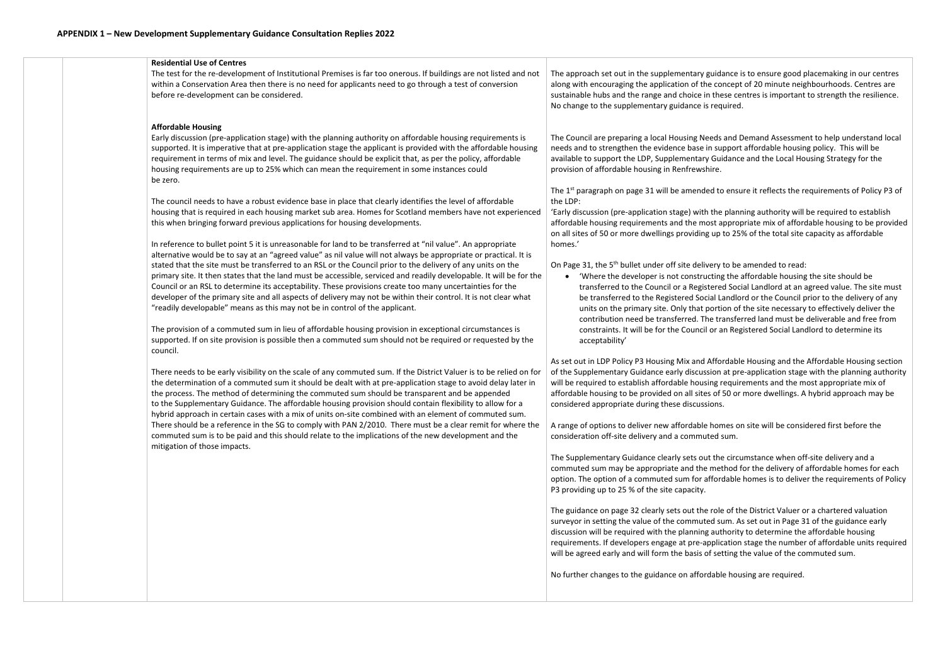| <b>Residential Use of Centres</b>                                                                                                                                                                                                                                                                                                                                                                                                                                                                                                                                                                                                                                                                                                                                                                                                                                                                                                                                                                                                                                                                                                                                                                                                                                                                                                                                                                                                                                                                                                                                                                                                                                                                                                                                                                                                                                                                                                                                                                                                                                                                                                                                                                                                                                                                                                                                                                                                                                                                                                                                                                                                         |                                                                                                                                                                                                                                                                                                                                                                                                                                                                                                                                                                                                                                                                                                                                                                                                                                                                                                                                                                                                                                                                                                                                                                                                                                                                                                                                                                                                                                                                                                                                                                                                                                                                                                                                                                  |
|-------------------------------------------------------------------------------------------------------------------------------------------------------------------------------------------------------------------------------------------------------------------------------------------------------------------------------------------------------------------------------------------------------------------------------------------------------------------------------------------------------------------------------------------------------------------------------------------------------------------------------------------------------------------------------------------------------------------------------------------------------------------------------------------------------------------------------------------------------------------------------------------------------------------------------------------------------------------------------------------------------------------------------------------------------------------------------------------------------------------------------------------------------------------------------------------------------------------------------------------------------------------------------------------------------------------------------------------------------------------------------------------------------------------------------------------------------------------------------------------------------------------------------------------------------------------------------------------------------------------------------------------------------------------------------------------------------------------------------------------------------------------------------------------------------------------------------------------------------------------------------------------------------------------------------------------------------------------------------------------------------------------------------------------------------------------------------------------------------------------------------------------------------------------------------------------------------------------------------------------------------------------------------------------------------------------------------------------------------------------------------------------------------------------------------------------------------------------------------------------------------------------------------------------------------------------------------------------------------------------------------------------|------------------------------------------------------------------------------------------------------------------------------------------------------------------------------------------------------------------------------------------------------------------------------------------------------------------------------------------------------------------------------------------------------------------------------------------------------------------------------------------------------------------------------------------------------------------------------------------------------------------------------------------------------------------------------------------------------------------------------------------------------------------------------------------------------------------------------------------------------------------------------------------------------------------------------------------------------------------------------------------------------------------------------------------------------------------------------------------------------------------------------------------------------------------------------------------------------------------------------------------------------------------------------------------------------------------------------------------------------------------------------------------------------------------------------------------------------------------------------------------------------------------------------------------------------------------------------------------------------------------------------------------------------------------------------------------------------------------------------------------------------------------|
| The test for the re-development of Institutional Premises is far too onerous. If buildings are not listed and not<br>within a Conservation Area then there is no need for applicants need to go through a test of conversion<br>before re-development can be considered.                                                                                                                                                                                                                                                                                                                                                                                                                                                                                                                                                                                                                                                                                                                                                                                                                                                                                                                                                                                                                                                                                                                                                                                                                                                                                                                                                                                                                                                                                                                                                                                                                                                                                                                                                                                                                                                                                                                                                                                                                                                                                                                                                                                                                                                                                                                                                                  | The approach set out in the supplementary guida<br>along with encouraging the application of the cor<br>sustainable hubs and the range and choice in the<br>No change to the supplementary guidance is requ                                                                                                                                                                                                                                                                                                                                                                                                                                                                                                                                                                                                                                                                                                                                                                                                                                                                                                                                                                                                                                                                                                                                                                                                                                                                                                                                                                                                                                                                                                                                                      |
| <b>Affordable Housing</b><br>Early discussion (pre-application stage) with the planning authority on affordable housing requirements is<br>supported. It is imperative that at pre-application stage the applicant is provided with the affordable housing<br>requirement in terms of mix and level. The guidance should be explicit that, as per the policy, affordable<br>housing requirements are up to 25% which can mean the requirement in some instances could<br>be zero.<br>The council needs to have a robust evidence base in place that clearly identifies the level of affordable<br>housing that is required in each housing market sub area. Homes for Scotland members have not experienced<br>this when bringing forward previous applications for housing developments.<br>In reference to bullet point 5 it is unreasonable for land to be transferred at "nil value". An appropriate<br>alternative would be to say at an "agreed value" as nil value will not always be appropriate or practical. It is<br>stated that the site must be transferred to an RSL or the Council prior to the delivery of any units on the<br>primary site. It then states that the land must be accessible, serviced and readily developable. It will be for the<br>Council or an RSL to determine its acceptability. These provisions create too many uncertainties for the<br>developer of the primary site and all aspects of delivery may not be within their control. It is not clear what<br>"readily developable" means as this may not be in control of the applicant.<br>The provision of a commuted sum in lieu of affordable housing provision in exceptional circumstances is<br>supported. If on site provision is possible then a commuted sum should not be required or requested by the<br>council.<br>There needs to be early visibility on the scale of any commuted sum. If the District Valuer is to be relied on for<br>the determination of a commuted sum it should be dealt with at pre-application stage to avoid delay later in<br>the process. The method of determining the commuted sum should be transparent and be appended<br>to the Supplementary Guidance. The affordable housing provision should contain flexibility to allow for a<br>hybrid approach in certain cases with a mix of units on-site combined with an element of commuted sum.<br>There should be a reference in the SG to comply with PAN 2/2010. There must be a clear remit for where the<br>commuted sum is to be paid and this should relate to the implications of the new development and the<br>mitigation of those impacts. | The Council are preparing a local Housing Needs<br>needs and to strengthen the evidence base in suj<br>available to support the LDP, Supplementary Gui<br>provision of affordable housing in Renfrewshire.<br>The 1 <sup>st</sup> paragraph on page 31 will be amended to<br>the LDP:<br>'Early discussion (pre-application stage) with the<br>affordable housing requirements and the most a<br>on all sites of 50 or more dwellings providing up t<br>homes.'<br>On Page 31, the 5 <sup>th</sup> bullet under off site delivery to<br>• 'Where the developer is not constructing<br>transferred to the Council or a Registered<br>be transferred to the Registered Social La<br>units on the primary site. Only that portion<br>contribution need be transferred. The tra<br>constraints. It will be for the Council or a<br>acceptability'<br>As set out in LDP Policy P3 Housing Mix and Affor<br>of the Supplementary Guidance early discussion<br>will be required to establish affordable housing r<br>affordable housing to be provided on all sites of !<br>considered appropriate during these discussions.<br>A range of options to deliver new affordable hom<br>consideration off-site delivery and a commuted s<br>The Supplementary Guidance clearly sets out the<br>commuted sum may be appropriate and the met<br>option. The option of a commuted sum for afford<br>P3 providing up to 25 % of the site capacity.<br>The guidance on page 32 clearly sets out the role<br>surveyor in setting the value of the commuted su<br>discussion will be required with the planning aut<br>requirements. If developers engage at pre-applic<br>will be agreed early and will form the basis of set<br>No further changes to the guidance on affordable |

idance is to ensure good placemaking in our centres concept of 20 minute neighbourhoods. Centres are these centres is important to strength the resilience. equired.

ds and Demand Assessment to help understand local support affordable housing policy. This will be Guidance and the Local Housing Strategy for the

to ensure it reflects the requirements of Policy P3 of

he planning authority will be required to establish t appropriate mix of affordable housing to be provided up to 25% of the total site capacity as affordable

ry to be amended to read:

ing the affordable housing the site should be red Social Landlord at an agreed value. The site must I Landlord or the Council prior to the delivery of any rtion of the site necessary to effectively deliver the  $c$  transferred land must be deliverable and free from r an Registered Social Landlord to determine its

ffordable Housing and the Affordable Housing section on at pre-application stage with the planning authority g requirements and the most appropriate mix of of 50 or more dwellings. A hybrid approach may be

omes on site will be considered first before the d sum.

the circumstance when off-site delivery and a nethod for the delivery of affordable homes for each ordable homes is to deliver the requirements of Policy

ole of the District Valuer or a chartered valuation I sum. As set out in Page 31 of the guidance early authority to determine the affordable housing blication stage the number of affordable units required setting the value of the commuted sum.

able housing are required.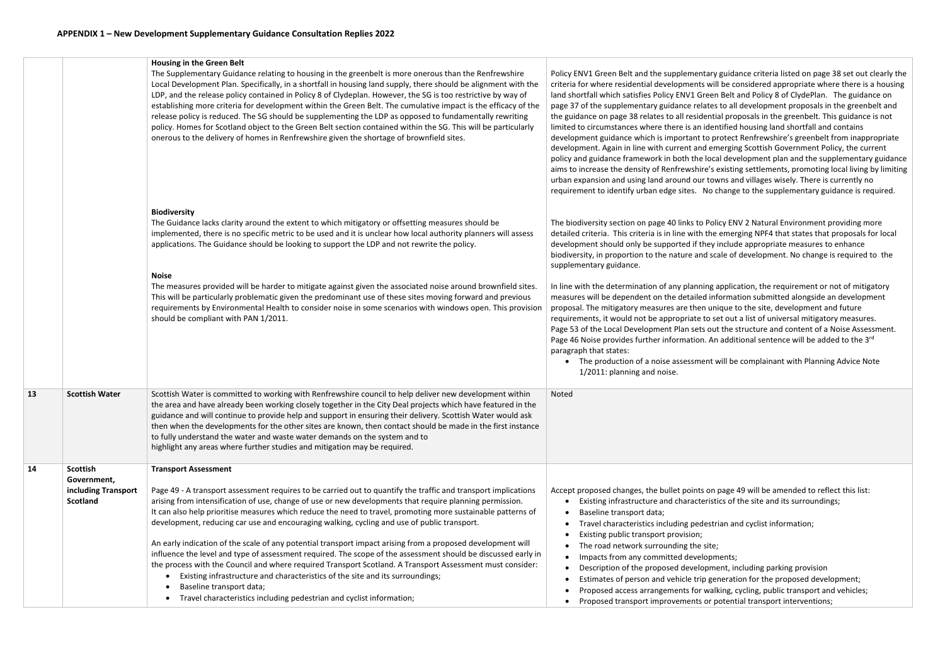|    |                                                                          | Housing in the Green Belt<br>The Supplementary Guidance relating to housing in the greenbelt is more onerous than the Renfrewshire<br>Local Development Plan. Specifically, in a shortfall in housing land supply, there should be alignment with the<br>LDP, and the release policy contained in Policy 8 of Clydeplan. However, the SG is too restrictive by way of<br>establishing more criteria for development within the Green Belt. The cumulative impact is the efficacy of the<br>release policy is reduced. The SG should be supplementing the LDP as opposed to fundamentally rewriting<br>policy. Homes for Scotland object to the Green Belt section contained within the SG. This will be particularly<br>onerous to the delivery of homes in Renfrewshire given the shortage of brownfield sites.                                                                                                                                                                                                        | Policy ENV1 Green Belt and the supplementary<br>criteria for where residential developments wil<br>land shortfall which satisfies Policy ENV1 Green<br>page 37 of the supplementary guidance relates<br>the guidance on page 38 relates to all residenti<br>limited to circumstances where there is an iden<br>development guidance which is important to pi<br>development. Again in line with current and en<br>policy and guidance framework in both the loca<br>aims to increase the density of Renfrewshire's<br>urban expansion and using land around our tov<br>requirement to identify urban edge sites. No c |
|----|--------------------------------------------------------------------------|-------------------------------------------------------------------------------------------------------------------------------------------------------------------------------------------------------------------------------------------------------------------------------------------------------------------------------------------------------------------------------------------------------------------------------------------------------------------------------------------------------------------------------------------------------------------------------------------------------------------------------------------------------------------------------------------------------------------------------------------------------------------------------------------------------------------------------------------------------------------------------------------------------------------------------------------------------------------------------------------------------------------------|-----------------------------------------------------------------------------------------------------------------------------------------------------------------------------------------------------------------------------------------------------------------------------------------------------------------------------------------------------------------------------------------------------------------------------------------------------------------------------------------------------------------------------------------------------------------------------------------------------------------------|
|    |                                                                          | <b>Biodiversity</b><br>The Guidance lacks clarity around the extent to which mitigatory or offsetting measures should be<br>implemented, there is no specific metric to be used and it is unclear how local authority planners will assess<br>applications. The Guidance should be looking to support the LDP and not rewrite the policy.                                                                                                                                                                                                                                                                                                                                                                                                                                                                                                                                                                                                                                                                               | The biodiversity section on page 40 links to Poli<br>detailed criteria. This criteria is in line with the<br>development should only be supported if they<br>biodiversity, in proportion to the nature and sca<br>supplementary guidance.                                                                                                                                                                                                                                                                                                                                                                             |
|    |                                                                          | <b>Noise</b><br>The measures provided will be harder to mitigate against given the associated noise around brownfield sites.<br>This will be particularly problematic given the predominant use of these sites moving forward and previous<br>requirements by Environmental Health to consider noise in some scenarios with windows open. This provision<br>should be compliant with PAN 1/2011.                                                                                                                                                                                                                                                                                                                                                                                                                                                                                                                                                                                                                        | In line with the determination of any planning a<br>measures will be dependent on the detailed inf<br>proposal. The mitigatory measures are then un<br>requirements, it would not be appropriate to se<br>Page 53 of the Local Development Plan sets out<br>Page 46 Noise provides further information. An<br>paragraph that states:<br>The production of a noise assessment v<br>1/2011: planning and noise.                                                                                                                                                                                                         |
| 13 | <b>Scottish Water</b>                                                    | Scottish Water is committed to working with Renfrewshire council to help deliver new development within<br>the area and have already been working closely together in the City Deal projects which have featured in the<br>guidance and will continue to provide help and support in ensuring their delivery. Scottish Water would ask<br>then when the developments for the other sites are known, then contact should be made in the first instance<br>to fully understand the water and waste water demands on the system and to<br>highlight any areas where further studies and mitigation may be required.                                                                                                                                                                                                                                                                                                                                                                                                        | Noted                                                                                                                                                                                                                                                                                                                                                                                                                                                                                                                                                                                                                 |
| 14 | <b>Scottish</b><br>Government,<br>including Transport<br><b>Scotland</b> | <b>Transport Assessment</b><br>Page 49 - A transport assessment requires to be carried out to quantify the traffic and transport implications<br>arising from intensification of use, change of use or new developments that require planning permission.<br>It can also help prioritise measures which reduce the need to travel, promoting more sustainable patterns of<br>development, reducing car use and encouraging walking, cycling and use of public transport.<br>An early indication of the scale of any potential transport impact arising from a proposed development will<br>influence the level and type of assessment required. The scope of the assessment should be discussed early in<br>the process with the Council and where required Transport Scotland. A Transport Assessment must consider:<br>Existing infrastructure and characteristics of the site and its surroundings;<br>Baseline transport data;<br>Travel characteristics including pedestrian and cyclist information;<br>$\bullet$ | Accept proposed changes, the bullet points on<br>Existing infrastructure and characteristi<br>٠<br>Baseline transport data;<br>Travel characteristics including pedestr<br>$\bullet$<br>Existing public transport provision;<br>The road network surrounding the site;<br>Impacts from any committed developm<br>$\bullet$<br>Description of the proposed developme<br>٠<br>Estimates of person and vehicle trip ge<br>$\bullet$<br>Proposed access arrangements for wall<br>$\bullet$<br>Proposed transport improvements or p<br>$\bullet$                                                                           |

ry guidance criteria listed on page 38 set out clearly the vill be considered appropriate where there is a housing en Belt and Policy 8 of ClydePlan. The guidance on es to all development proposals in the greenbelt and ntial proposals in the greenbelt. This guidance is not entified housing land shortfall and contains protect Renfrewshire's greenbelt from inappropriate emerging Scottish Government Policy, the current ocal development plan and the supplementary guidance s existing settlements, promoting local living by limiting owns and villages wisely. There is currently no change to the supplementary guidance is required.

olicy ENV 2 Natural Environment providing more e emerging NPF4 that states that proposals for local y include appropriate measures to enhance scale of development. No change is required to the

g application, the requirement or not of mitigatory nformation submitted alongside an development inique to the site, development and future  $\alpha$  set out a list of universal mitigatory measures. out the structure and content of a Noise Assessment. An additional sentence will be added to the 3 $^{\text{rd}}$ 

will be complainant with Planning Advice Note

In page 49 will be amended to reflect this list: stics of the site and its surroundings;

trian and cyclist information;

oments;

ment, including parking provision

eneration for the proposed development;

alking, cycling, public transport and vehicles;

potential transport interventions;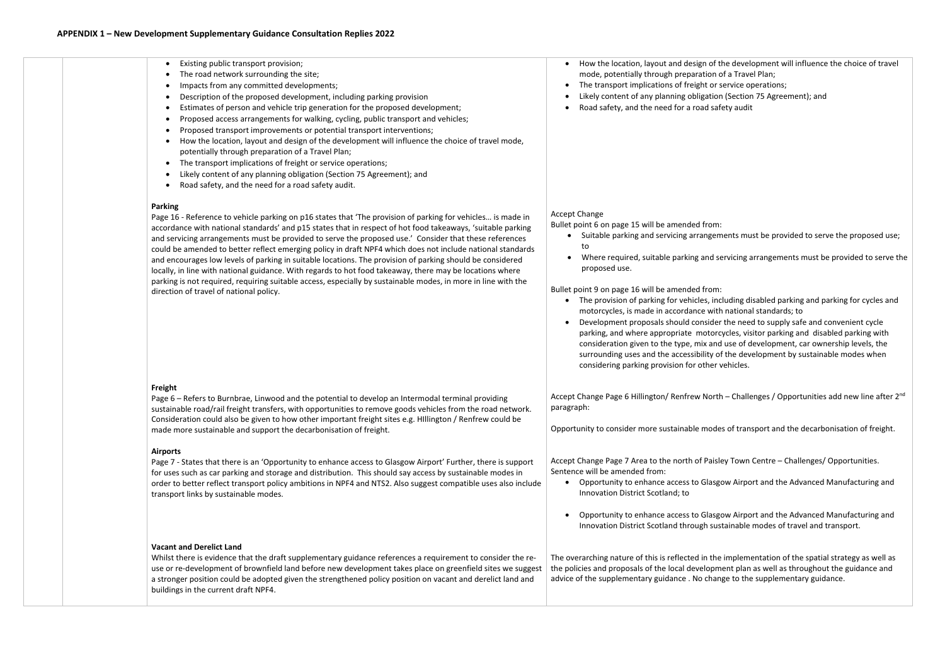| Existing public transport provision;<br>The road network surrounding the site;<br>Impacts from any committed developments;<br>Description of the proposed development, including parking provision<br>Estimates of person and vehicle trip generation for the proposed development;<br>Proposed access arrangements for walking, cycling, public transport and vehicles;<br>Proposed transport improvements or potential transport interventions;<br>How the location, layout and design of the development will influence the choice of travel mode,<br>potentially through preparation of a Travel Plan;<br>The transport implications of freight or service operations;<br>$\bullet$<br>Likely content of any planning obligation (Section 75 Agreement); and<br>Road safety, and the need for a road safety audit.<br><b>Parking</b><br>Page 16 - Reference to vehicle parking on p16 states that 'The provision of parking for vehicles is made in<br>accordance with national standards' and p15 states that in respect of hot food takeaways, 'suitable parking | How the location, layout and design of t<br>mode, potentially through preparation o<br>The transport implications of freight or s<br>Likely content of any planning obligatior<br>Road safety, and the need for a road saf<br><b>Accept Change</b><br>Bullet point 6 on page 15 will be amended from:                                                                                                                                                                                      |
|------------------------------------------------------------------------------------------------------------------------------------------------------------------------------------------------------------------------------------------------------------------------------------------------------------------------------------------------------------------------------------------------------------------------------------------------------------------------------------------------------------------------------------------------------------------------------------------------------------------------------------------------------------------------------------------------------------------------------------------------------------------------------------------------------------------------------------------------------------------------------------------------------------------------------------------------------------------------------------------------------------------------------------------------------------------------|--------------------------------------------------------------------------------------------------------------------------------------------------------------------------------------------------------------------------------------------------------------------------------------------------------------------------------------------------------------------------------------------------------------------------------------------------------------------------------------------|
| and servicing arrangements must be provided to serve the proposed use.' Consider that these references<br>could be amended to better reflect emerging policy in draft NPF4 which does not include national standards<br>and encourages low levels of parking in suitable locations. The provision of parking should be considered<br>locally, in line with national guidance. With regards to hot food takeaway, there may be locations where<br>parking is not required, requiring suitable access, especially by sustainable modes, in more in line with the<br>direction of travel of national policy.                                                                                                                                                                                                                                                                                                                                                                                                                                                              | Suitable parking and servicing arrangem<br>to<br>Where required, suitable parking and se<br>proposed use.<br>Bullet point 9 on page 16 will be amended from:<br>The provision of parking for vehicles, inc<br>$\bullet$<br>motorcycles, is made in accordance with<br>Development proposals should consider<br>parking, and where appropriate motord<br>consideration given to the type, mix and<br>surrounding uses and the accessibility of<br>considering parking provision for other v |
| Freight<br>Page 6 - Refers to Burnbrae, Linwood and the potential to develop an Intermodal terminal providing<br>sustainable road/rail freight transfers, with opportunities to remove goods vehicles from the road network.<br>Consideration could also be given to how other important freight sites e.g. Hillington / Renfrew could be<br>made more sustainable and support the decarbonisation of freight.                                                                                                                                                                                                                                                                                                                                                                                                                                                                                                                                                                                                                                                         | Accept Change Page 6 Hillington/ Renfrew North<br>paragraph:<br>Opportunity to consider more sustainable mode                                                                                                                                                                                                                                                                                                                                                                              |
| <b>Airports</b><br>Page 7 - States that there is an 'Opportunity to enhance access to Glasgow Airport' Further, there is support<br>for uses such as car parking and storage and distribution. This should say access by sustainable modes in<br>order to better reflect transport policy ambitions in NPF4 and NTS2. Also suggest compatible uses also include<br>transport links by sustainable modes.                                                                                                                                                                                                                                                                                                                                                                                                                                                                                                                                                                                                                                                               | Accept Change Page 7 Area to the north of Paisle<br>Sentence will be amended from:<br>Opportunity to enhance access to Glasgo<br>Innovation District Scotland; to                                                                                                                                                                                                                                                                                                                          |
|                                                                                                                                                                                                                                                                                                                                                                                                                                                                                                                                                                                                                                                                                                                                                                                                                                                                                                                                                                                                                                                                        | Opportunity to enhance access to Glasgo<br>Innovation District Scotland through sus                                                                                                                                                                                                                                                                                                                                                                                                        |

# **Vacant and Derelict Land**

Whilst there is evidence that the draft supplementary guidance references a requirement to consider the reuse or re-development of brownfield land before new development takes place on greenfield sites we suggest a stronger position could be adopted given the strengthened policy position on vacant and derelict land and buildings in the current draft NPF4.

of the development will influence the choice of travel on of a Travel Plan; or service operations; ation (Section 75 Agreement); and I safety audit

gements must be provided to serve the proposed use;

d servicing arrangements must be provided to serve the

, including disabled parking and parking for cycles and with national standards; to

ider the need to supply safe and convenient cycle torcycles, visitor parking and disabled parking with and use of development, car ownership levels, the ty of the development by sustainable modes when ner vehicles.

lorth – Challenges / Opportunities add new line after 2<sup>nd</sup>

odes of transport and the decarbonisation of freight.

aisley Town Centre – Challenges/ Opportunities.

asgow Airport and the Advanced Manufacturing and

lasgow Airport and the Advanced Manufacturing and sustainable modes of travel and transport.

The overarching nature of this is reflected in the implementation of the spatial strategy as well as the policies and proposals of the local development plan as well as throughout the guidance and advice of the supplementary guidance . No change to the supplementary guidance.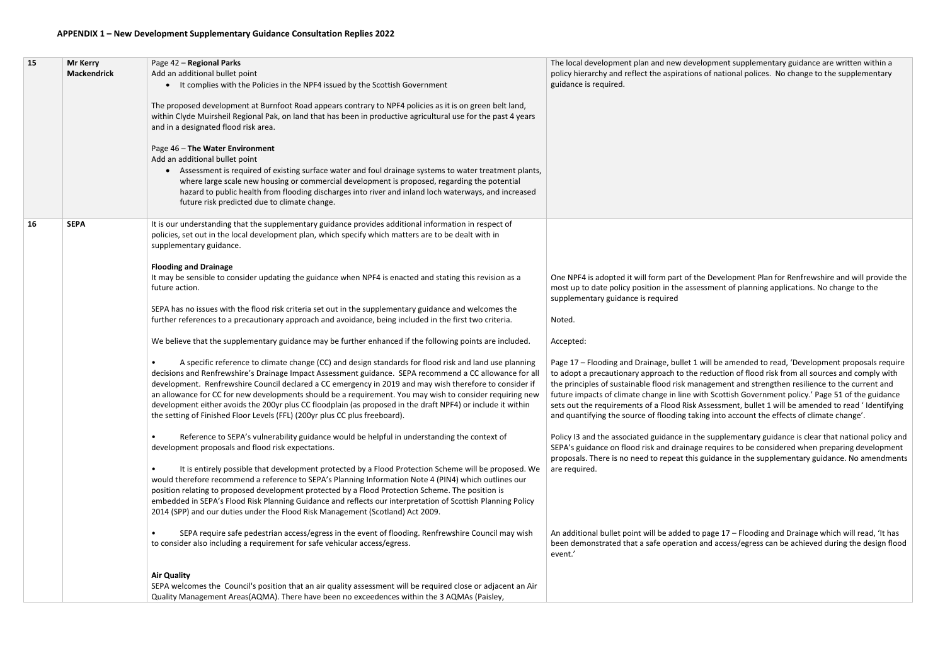### **APPENDIX 1 – New Development Supplementary Guidance Consultation Replies 2022**

| 15 | <b>Mr Kerry</b>    | Page 42 - Regional Parks                                                                                                                                                                                                                                                                                                                                                                                                                                                                                                                                                                                                             | The local development plan and new developn                                                                                                                                                                                                                                                                    |
|----|--------------------|--------------------------------------------------------------------------------------------------------------------------------------------------------------------------------------------------------------------------------------------------------------------------------------------------------------------------------------------------------------------------------------------------------------------------------------------------------------------------------------------------------------------------------------------------------------------------------------------------------------------------------------|----------------------------------------------------------------------------------------------------------------------------------------------------------------------------------------------------------------------------------------------------------------------------------------------------------------|
|    | <b>Mackendrick</b> | Add an additional bullet point<br>It complies with the Policies in the NPF4 issued by the Scottish Government<br>$\bullet$                                                                                                                                                                                                                                                                                                                                                                                                                                                                                                           | policy hierarchy and reflect the aspirations of r<br>guidance is required.                                                                                                                                                                                                                                     |
|    |                    | The proposed development at Burnfoot Road appears contrary to NPF4 policies as it is on green belt land,<br>within Clyde Muirsheil Regional Pak, on land that has been in productive agricultural use for the past 4 years<br>and in a designated flood risk area.                                                                                                                                                                                                                                                                                                                                                                   |                                                                                                                                                                                                                                                                                                                |
|    |                    | Page 46 - The Water Environment<br>Add an additional bullet point<br>Assessment is required of existing surface water and foul drainage systems to water treatment plants,<br>$\bullet$<br>where large scale new housing or commercial development is proposed, regarding the potential<br>hazard to public health from flooding discharges into river and inland loch waterways, and increased<br>future risk predicted due to climate change.                                                                                                                                                                                      |                                                                                                                                                                                                                                                                                                                |
| 16 | <b>SEPA</b>        | It is our understanding that the supplementary guidance provides additional information in respect of<br>policies, set out in the local development plan, which specify which matters are to be dealt with in<br>supplementary guidance.                                                                                                                                                                                                                                                                                                                                                                                             |                                                                                                                                                                                                                                                                                                                |
|    |                    | <b>Flooding and Drainage</b><br>It may be sensible to consider updating the guidance when NPF4 is enacted and stating this revision as a<br>future action.                                                                                                                                                                                                                                                                                                                                                                                                                                                                           | One NPF4 is adopted it will form part of the De<br>most up to date policy position in the assessme<br>supplementary guidance is required                                                                                                                                                                       |
|    |                    | SEPA has no issues with the flood risk criteria set out in the supplementary guidance and welcomes the<br>further references to a precautionary approach and avoidance, being included in the first two criteria.                                                                                                                                                                                                                                                                                                                                                                                                                    | Noted.                                                                                                                                                                                                                                                                                                         |
|    |                    | We believe that the supplementary guidance may be further enhanced if the following points are included.                                                                                                                                                                                                                                                                                                                                                                                                                                                                                                                             | Accepted:                                                                                                                                                                                                                                                                                                      |
|    |                    | A specific reference to climate change (CC) and design standards for flood risk and land use planning<br>decisions and Renfrewshire's Drainage Impact Assessment guidance. SEPA recommend a CC allowance for all<br>development. Renfrewshire Council declared a CC emergency in 2019 and may wish therefore to consider if<br>an allowance for CC for new developments should be a requirement. You may wish to consider requiring new<br>development either avoids the 200yr plus CC floodplain (as proposed in the draft NPF4) or include it within<br>the setting of Finished Floor Levels (FFL) (200yr plus CC plus freeboard). | Page 17 - Flooding and Drainage, bullet 1 will b<br>to adopt a precautionary approach to the redu<br>the principles of sustainable flood risk manage<br>future impacts of climate change in line with S<br>sets out the requirements of a Flood Risk Asses<br>and quantifying the source of flooding taking in |
|    |                    | Reference to SEPA's vulnerability guidance would be helpful in understanding the context of<br>development proposals and flood risk expectations.                                                                                                                                                                                                                                                                                                                                                                                                                                                                                    | Policy I3 and the associated guidance in the su<br>SEPA's guidance on flood risk and drainage req<br>proposals. There is no need to repeat this guid                                                                                                                                                           |
|    |                    | It is entirely possible that development protected by a Flood Protection Scheme will be proposed. We<br>$\bullet$<br>would therefore recommend a reference to SEPA's Planning Information Note 4 (PIN4) which outlines our<br>position relating to proposed development protected by a Flood Protection Scheme. The position is<br>embedded in SEPA's Flood Risk Planning Guidance and reflects our interpretation of Scottish Planning Policy<br>2014 (SPP) and our duties under the Flood Risk Management (Scotland) Act 2009.                                                                                                     | are required.                                                                                                                                                                                                                                                                                                  |
|    |                    | SEPA require safe pedestrian access/egress in the event of flooding. Renfrewshire Council may wish<br>to consider also including a requirement for safe vehicular access/egress.                                                                                                                                                                                                                                                                                                                                                                                                                                                     | An additional bullet point will be added to page<br>been demonstrated that a safe operation and<br>event.'                                                                                                                                                                                                     |
|    |                    | <b>Air Quality</b><br>SEPA welcomes the Council's position that an air quality assessment will be required close or adjacent an Air<br>Quality Management Areas(AQMA). There have been no exceedences within the 3 AQMAs (Paisley,                                                                                                                                                                                                                                                                                                                                                                                                   |                                                                                                                                                                                                                                                                                                                |

## ment supplementary guidance are written within a national polices. No change to the supplementary

evelopment Plan for Renfrewshire and will provide the ent of planning applications. No change to the

be amended to read, 'Development proposals require uction of flood risk from all sources and comply with ement and strengthen resilience to the current and Scottish Government policy.' Page 51 of the guidance ssment, bullet 1 will be amended to read ' Identifying into account the effects of climate change'.

applementary guidance is clear that national policy and quires to be considered when preparing development dance in the supplementary guidance. No amendments

ge 17 – Flooding and Drainage which will read, 'It has access/egress can be achieved during the design flood